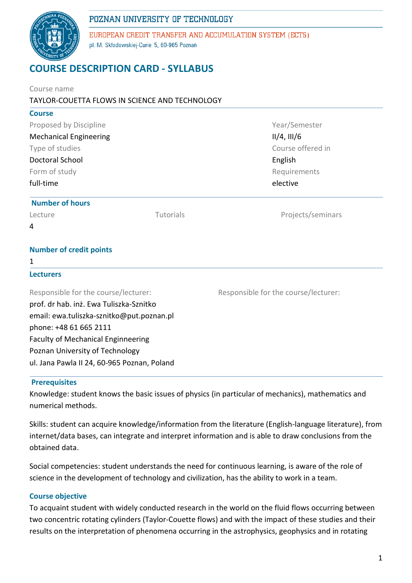# POZNAN UNIVERSITY OF TECHNOLOGY



EUROPEAN CREDIT TRANSFER AND ACCUMULATION SYSTEM (ECTS) pl. M. Skłodowskiej-Curie 5, 60-965 Poznań

# **COURSE DESCRIPTION CARD - SYLLABUS**

| Course name                                    |           |                                      |  |               |  |              |
|------------------------------------------------|-----------|--------------------------------------|--|---------------|--|--------------|
| TAYLOR-COUETTA FLOWS IN SCIENCE AND TECHNOLOGY |           |                                      |  |               |  |              |
| <b>Course</b>                                  |           |                                      |  |               |  |              |
| Proposed by Discipline                         |           | Year/Semester                        |  |               |  |              |
| <b>Mechanical Engineering</b>                  |           | $II/4$ , $III/6$                     |  |               |  |              |
| Type of studies<br><b>Doctoral School</b>      |           | Course offered in<br>English         |  |               |  |              |
|                                                |           |                                      |  | Form of study |  | Requirements |
| full-time                                      |           | elective                             |  |               |  |              |
| <b>Number of hours</b>                         |           |                                      |  |               |  |              |
| Lecture                                        | Tutorials | Projects/seminars                    |  |               |  |              |
| 4                                              |           |                                      |  |               |  |              |
| <b>Number of credit points</b>                 |           |                                      |  |               |  |              |
| 1                                              |           |                                      |  |               |  |              |
| <b>Lecturers</b>                               |           |                                      |  |               |  |              |
| Responsible for the course/lecturer:           |           | Responsible for the course/lecturer: |  |               |  |              |
| prof. dr hab. inż. Ewa Tuliszka-Sznitko        |           |                                      |  |               |  |              |
| email: ewa.tuliszka-sznitko@put.poznan.pl      |           |                                      |  |               |  |              |
| phone: +48 61 665 2111                         |           |                                      |  |               |  |              |
| <b>Faculty of Mechanical Enginneering</b>      |           |                                      |  |               |  |              |
| Poznan University of Technology                |           |                                      |  |               |  |              |
| ul. Jana Pawla II 24, 60-965 Poznan, Poland    |           |                                      |  |               |  |              |
|                                                |           |                                      |  |               |  |              |

#### **Prerequisites**

Knowledge: student knows the basic issues of physics (in particular of mechanics), mathematics and numerical methods.

Skills: student can acquire knowledge/information from the literature (English-language literature), from internet/data bases, can integrate and interpret information and is able to draw conclusions from the obtained data.

Social competencies: student understands the need for continuous learning, is aware of the role of science in the development of technology and civilization, has the ability to work in a team.

#### **Course objective**

To acquaint student with widely conducted research in the world on the fluid flows occurring between two concentric rotating cylinders (Taylor-Couette flows) and with the impact of these studies and their results on the interpretation of phenomena occurring in the astrophysics, geophysics and in rotating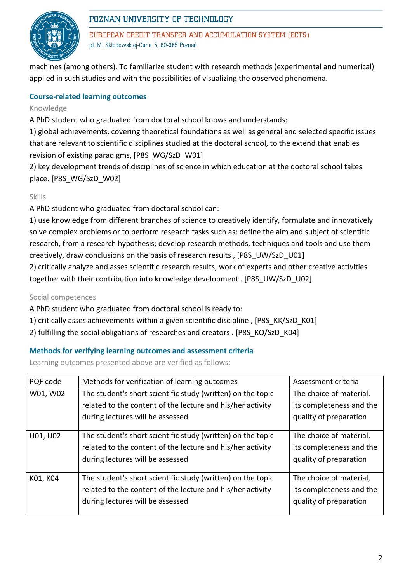

# POZNAN UNIVERSITY OF TECHNOLOGY

EUROPEAN CREDIT TRANSFER AND ACCUMULATION SYSTEM (ECTS) pl. M. Skłodowskiej-Curie 5, 60-965 Poznań

machines (among others). To familiarize student with research methods (experimental and numerical) applied in such studies and with the possibilities of visualizing the observed phenomena.

## **Course-related learning outcomes**

#### Knowledge

A PhD student who graduated from doctoral school knows and understands:

1) global achievements, covering theoretical foundations as well as general and selected specific issues that are relevant to scientific disciplines studied at the doctoral school, to the extend that enables revision of existing paradigms, [P8S\_WG/SzD\_W01]

2) key development trends of disciplines of science in which education at the doctoral school takes place. [P8S\_WG/SzD\_W02]

#### Skills

A PhD student who graduated from doctoral school can:

1) use knowledge from different branches of science to creatively identify, formulate and innovatively solve complex problems or to perform research tasks such as: define the aim and subject of scientific research, from a research hypothesis; develop research methods, techniques and tools and use them creatively, draw conclusions on the basis of research results , [P8S\_UW/SzD\_U01]

2) critically analyze and asses scientific research results, work of experts and other creative activities together with their contribution into knowledge development . [P8S\_UW/SzD\_U02]

#### Social competences

A PhD student who graduated from doctoral school is ready to:

- 1) critically asses achievements within a given scientific discipline , [P8S\_KK/SzD\_K01]
- 2) fulfilling the social obligations of researches and creators . [P8S\_KO/SzD\_K04]

#### **Methods for verifying learning outcomes and assessment criteria**

Learning outcomes presented above are verified as follows:

| PQF code | Methods for verification of learning outcomes               | Assessment criteria      |  |
|----------|-------------------------------------------------------------|--------------------------|--|
| W01, W02 | The student's short scientific study (written) on the topic | The choice of material,  |  |
|          | related to the content of the lecture and his/her activity  | its completeness and the |  |
|          | during lectures will be assessed                            | quality of preparation   |  |
|          |                                                             |                          |  |
| U01, U02 | The student's short scientific study (written) on the topic | The choice of material,  |  |
|          | related to the content of the lecture and his/her activity  | its completeness and the |  |
|          | during lectures will be assessed                            | quality of preparation   |  |
|          |                                                             |                          |  |
| K01, K04 | The student's short scientific study (written) on the topic | The choice of material,  |  |
|          | related to the content of the lecture and his/her activity  | its completeness and the |  |
|          | during lectures will be assessed                            | quality of preparation   |  |
|          |                                                             |                          |  |